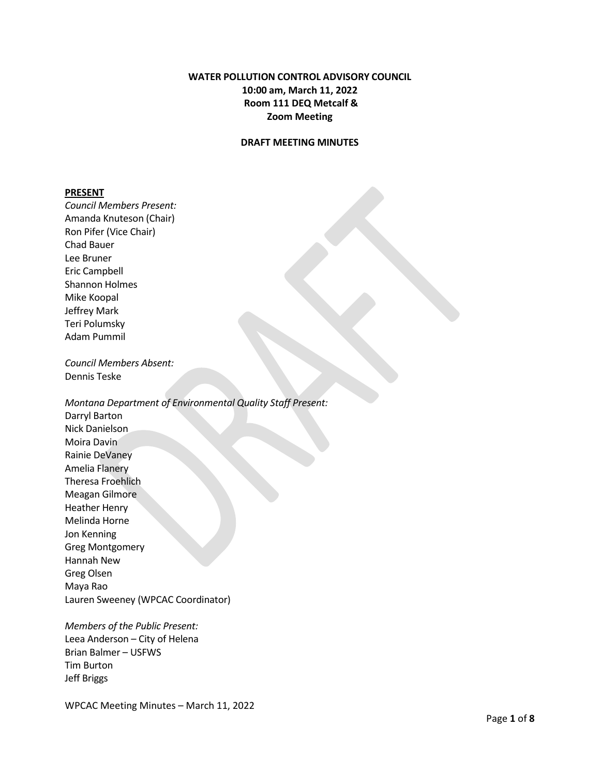# **WATER POLLUTION CONTROL ADVISORY COUNCIL 10:00 am, March 11, 2022 Room 111 DEQ Metcalf & Zoom Meeting**

### **DRAFT MEETING MINUTES**

#### **PRESENT**

*Council Members Present:* Amanda Knuteson (Chair) Ron Pifer (Vice Chair) Chad Bauer Lee Bruner Eric Campbell Shannon Holmes Mike Koopal Jeffrey Mark Teri Polumsky Adam Pummil

*Council Members Absent:* Dennis Teske

*Montana Department of Environmental Quality Staff Present:* Darryl Barton Nick Danielson Moira Davin Rainie DeVaney

Amelia Flanery Theresa Froehlich Meagan Gilmore Heather Henry Melinda Horne Jon Kenning Greg Montgomery Hannah New Greg Olsen Maya Rao Lauren Sweeney (WPCAC Coordinator)

*Members of the Public Present:* Leea Anderson – City of Helena Brian Balmer – USFWS Tim Burton Jeff Briggs

WPCAC Meeting Minutes – March 11, 2022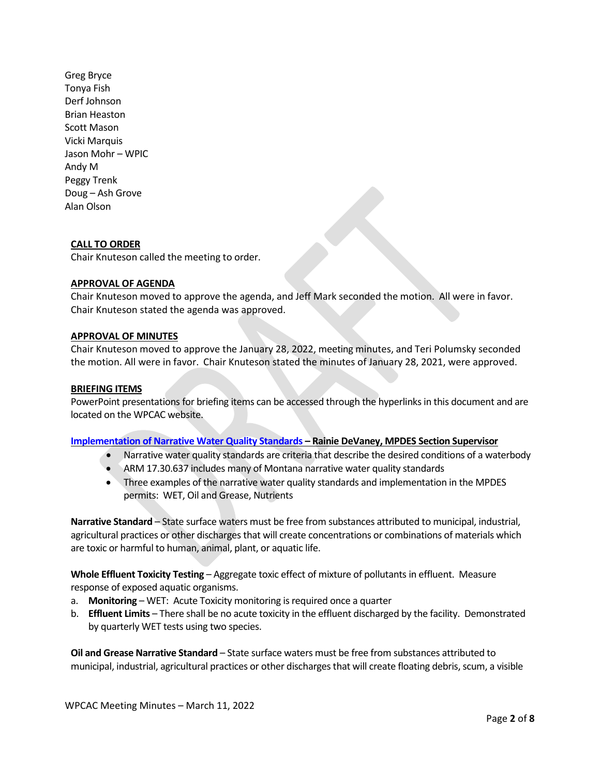Greg Bryce Tonya Fish Derf Johnson Brian Heaston Scott Mason Vicki Marquis Jason Mohr – WPIC Andy M Peggy Trenk Doug – Ash Grove Alan Olson

### **CALL TO ORDER**

Chair Knuteson called the meeting to order.

#### **APPROVAL OF AGENDA**

Chair Knuteson moved to approve the agenda, and Jeff Mark seconded the motion. All were in favor. Chair Knuteson stated the agenda was approved.

#### **APPROVAL OF MINUTES**

Chair Knuteson moved to approve the January 28, 2022, meeting minutes, and Teri Polumsky seconded the motion. All were in favor. Chair Knuteson stated the minutes of January 28, 2021, were approved.

#### **BRIEFING ITEMS**

PowerPoint presentations for briefing items can be accessed through the hyperlinks in this document and are located on the WPCAC website.

### **[Implementation of Narrative Water Quality Standards](https://deq.mt.gov/files/Water/WQInfo/Documents/WPCAC/WPCAC/March%20Presentations/1.%202022_WPCAC_narrwqs.pdf) – Rainie DeVaney, MPDES Section Supervisor**

- Narrative water quality standards are criteria that describe the desired conditions of a waterbody
- ARM 17.30.637 includes many of Montana narrative water quality standards
- Three examples of the narrative water quality standards and implementation in the MPDES permits: WET, Oil and Grease, Nutrients

**Narrative Standard** – State surface waters must be free from substances attributed to municipal, industrial, agricultural practices or other discharges that will create concentrations or combinations of materials which are toxic or harmful to human, animal, plant, or aquatic life.

**Whole Effluent Toxicity Testing** – Aggregate toxic effect of mixture of pollutants in effluent. Measure response of exposed aquatic organisms.

- a. **Monitoring**  WET: Acute Toxicity monitoring is required once a quarter
- b. **Effluent Limits** There shall be no acute toxicity in the effluent discharged by the facility. Demonstrated by quarterly WET tests using two species.

**Oil and Grease Narrative Standard** – State surface waters must be free from substances attributed to municipal, industrial, agricultural practices or other discharges that will create floating debris, scum, a visible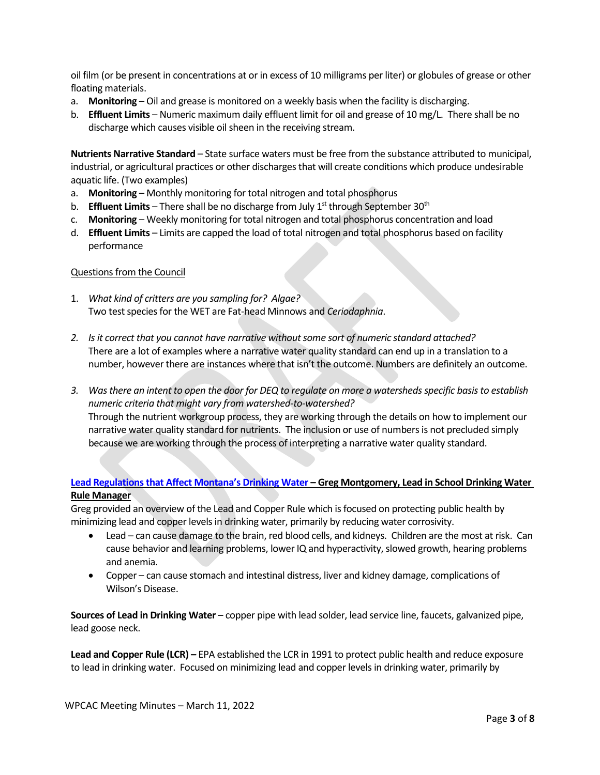oil film (or be present in concentrations at or in excess of 10 milligrams per liter) or globules of grease or other floating materials.

- a. **Monitoring**  Oil and grease is monitored on a weekly basis when the facility is discharging.
- b. **Effluent Limits** Numeric maximum daily effluent limit for oil and grease of 10 mg/L. There shall be no discharge which causes visible oil sheen in the receiving stream.

**Nutrients Narrative Standard** – State surface waters must be free from the substance attributed to municipal, industrial, or agricultural practices or other discharges that will create conditions which produce undesirable aquatic life. (Two examples)

- a. **Monitoring** Monthly monitoring for total nitrogen and total phosphorus
- b. **Effluent Limits** There shall be no discharge from July 1<sup>st</sup> through September 30<sup>th</sup>
- c. **Monitoring**  Weekly monitoring for total nitrogen and total phosphorus concentration and load
- d. **Effluent Limits**  Limits are capped the load of total nitrogen and total phosphorus based on facility performance

### Questions from the Council

- 1. *What kind of critters are you sampling for? Algae?* Two test species for the WET are Fat-head Minnows and *Ceriodaphnia*.
- *2. Is it correct that you cannot have narrative without some sort of numeric standard attached?* There are a lot of examples where a narrative water quality standard can end up in a translation to a number, however there are instances where that isn't the outcome. Numbers are definitely an outcome.
- *3. Was there an intent to open the door for DEQ to regulate on more a watersheds specific basisto establish numeric criteria that might vary from watershed-to-watershed?* Through the nutrient workgroup process, they are working through the details on how to implement our narrative water quality standard for nutrients. The inclusion or use of numbersis not precluded simply because we are working through the process of interpreting a narrative water quality standard.

# **[Lead Regulations that Affect Montana's Drinking Water](https://deq.mt.gov/files/Water/WQInfo/Documents/WPCAC/WPCAC/March%20Presentations/2.%2020220311_Lead%20Regulations%20in%20MT.pdf) – Greg Montgomery, Lead in School Drinking Water Rule Manager**

Greg provided an overview of the Lead and Copper Rule which is focused on protecting public health by minimizing lead and copper levels in drinking water, primarily by reducing water corrosivity.

- Lead can cause damage to the brain, red blood cells, and kidneys. Children are the most at risk. Can cause behavior and learning problems, lower IQ and hyperactivity, slowed growth, hearing problems and anemia.
- Copper can cause stomach and intestinal distress, liver and kidney damage, complications of Wilson's Disease.

**Sources of Lead in Drinking Water** – copper pipe with lead solder, lead service line, faucets, galvanized pipe, lead goose neck.

**Lead and Copper Rule (LCR) –** EPA established the LCR in 1991 to protect public health and reduce exposure to lead in drinking water. Focused on minimizing lead and copper levels in drinking water, primarily by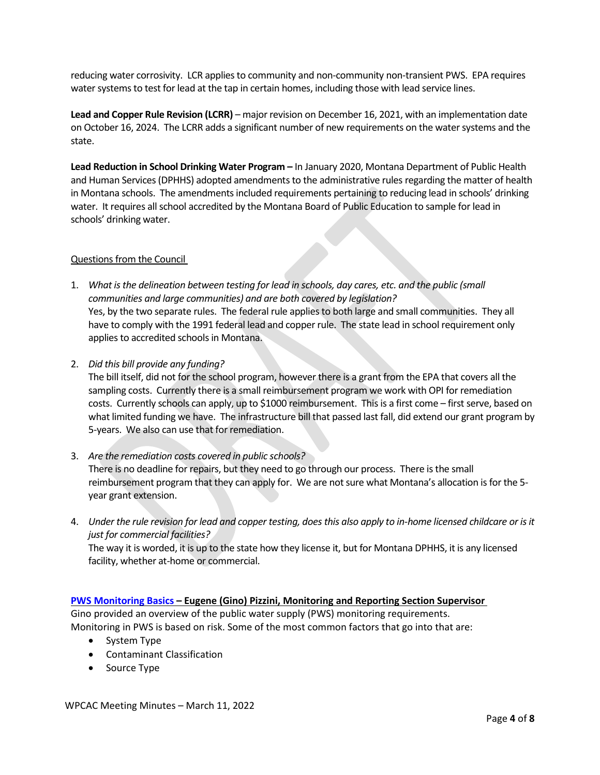reducing water corrosivity. LCR applies to community and non-community non-transient PWS. EPA requires water systems to test for lead at the tap in certain homes, including those with lead service lines.

**Lead and Copper Rule Revision (LCRR)** – major revision on December 16, 2021, with an implementation date on October 16, 2024. The LCRR adds a significant number of new requirements on the water systems and the state.

**Lead Reduction in School Drinking Water Program –** In January 2020, Montana Department of Public Health and Human Services (DPHHS) adopted amendments to the administrative rules regarding the matter of health in Montana schools. The amendments included requirements pertaining to reducing lead in schools' drinking water. It requires all school accredited by the Montana Board of Public Education to sample for lead in schools' drinking water.

### Questions from the Council

- 1. *What is the delineation between testing for lead in schools, day cares, etc. and the public (small communities and large communities) and are both covered by legislation?*  Yes, by the two separate rules. The federal rule applies to both large and small communities. They all have to comply with the 1991 federal lead and copper rule. The state lead in school requirement only applies to accredited schools in Montana.
- 2. *Did this bill provide any funding?*

The bill itself, did not for the school program, however there is a grant from the EPA that covers all the sampling costs. Currently there is a small reimbursement program we work with OPI for remediation costs. Currently schools can apply, up to \$1000 reimbursement. This is a first come – first serve, based on what limited funding we have. The infrastructure bill that passed last fall, did extend our grant program by 5-years. We also can use that for remediation.

- 3. *Are the remediation costs covered in public schools?* There is no deadline for repairs, but they need to go through our process. There is the small reimbursement program that they can apply for. We are not sure what Montana's allocation is for the 5 year grant extension.
- 4. *Under the rule revision for lead and copper testing, does this also apply to in-home licensed childcare or is it just for commercial facilities?* The way it is worded, it is up to the state how they license it, but for Montana DPHHS, it is any licensed facility, whether at-home or commercial.

# **[PWS Monitoring Basics](https://deq.mt.gov/files/Water/WQInfo/Documents/WPCAC/WPCAC/March%20Presentations/3.%20PWS_WPCAC%202022.pdf) – Eugene (Gino) Pizzini, Monitoring and Reporting Section Supervisor**

Gino provided an overview of the public water supply (PWS) monitoring requirements.

Monitoring in PWS is based on risk. Some of the most common factors that go into that are:

- System Type
- Contaminant Classification
- Source Type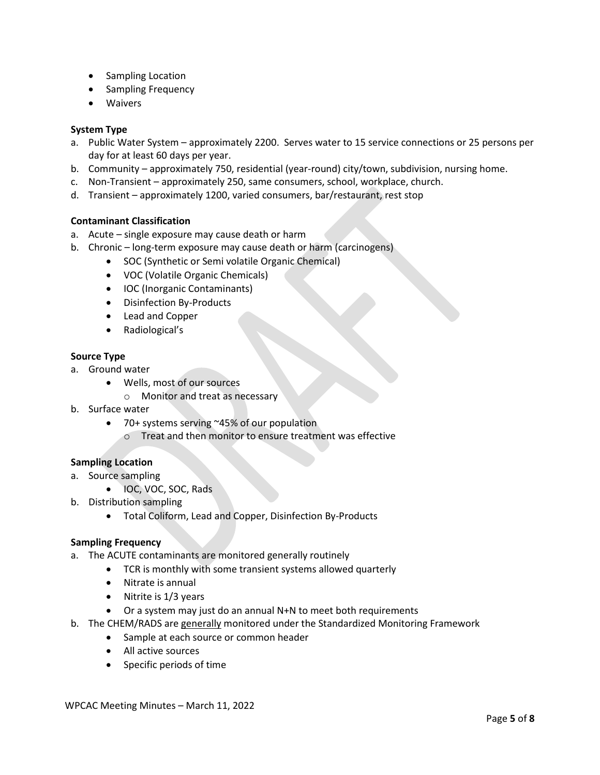- Sampling Location
- Sampling Frequency
- Waivers

### **System Type**

- a. Public Water System approximately 2200. Serves water to 15 service connections or 25 persons per day for at least 60 days per year.
- b. Community approximately 750, residential (year-round) city/town, subdivision, nursing home.
- c. Non-Transient approximately 250, same consumers, school, workplace, church.
- d. Transient approximately 1200, varied consumers, bar/restaurant, rest stop

### **Contaminant Classification**

- a. Acute single exposure may cause death or harm
- b. Chronic long-term exposure may cause death or harm (carcinogens)
	- SOC (Synthetic or Semi volatile Organic Chemical)
	- VOC (Volatile Organic Chemicals)
	- IOC (Inorganic Contaminants)
	- Disinfection By-Products
	- Lead and Copper
	- Radiological's

#### **Source Type**

- a. Ground water
	- Wells, most of our sources
		- o Monitor and treat as necessary
- b. Surface water
	- 70+ systems serving ~45% of our population
		- o Treat and then monitor to ensure treatment was effective

# **Sampling Location**

- a. Source sampling
	- IOC, VOC, SOC, Rads
- b. Distribution sampling
	- Total Coliform, Lead and Copper, Disinfection By-Products

#### **Sampling Frequency**

- a. The ACUTE contaminants are monitored generally routinely
	- TCR is monthly with some transient systems allowed quarterly
	- Nitrate is annual
	- Nitrite is 1/3 years
	- Or a system may just do an annual N+N to meet both requirements
- b. The CHEM/RADS are generally monitored under the Standardized Monitoring Framework
	- Sample at each source or common header
	- All active sources
	- Specific periods of time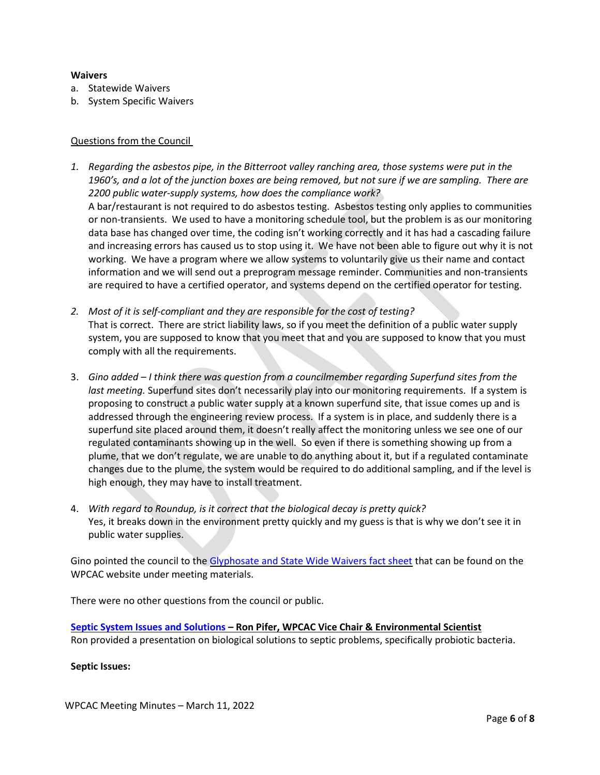### **Waivers**

- a. Statewide Waivers
- b. System Specific Waivers

### Questions from the Council

- *1. Regarding the asbestos pipe, in the Bitterroot valley ranching area, those systems were put in the 1960's, and a lot of the junction boxes are being removed, but not sure if we are sampling. There are 2200 public water-supply systems, how does the compliance work?*  A bar/restaurant is not required to do asbestos testing. Asbestos testing only applies to communities or non-transients. We used to have a monitoring schedule tool, but the problem is as our monitoring data base has changed over time, the coding isn't working correctly and it has had a cascading failure and increasing errors has caused us to stop using it. We have not been able to figure out why it is not working. We have a program where we allow systems to voluntarily give us their name and contact information and we will send out a preprogram message reminder. Communities and non-transients are required to have a certified operator, and systems depend on the certified operator for testing.
- *2. Most of it is self-compliant and they are responsible for the cost of testing?*  That is correct. There are strict liability laws, so if you meet the definition of a public water supply system, you are supposed to know that you meet that and you are supposed to know that you must comply with all the requirements.
- 3. *Gino added I think there was question from a councilmember regarding Superfund sites from the last meeting.* Superfund sites don't necessarily play into our monitoring requirements. If a system is proposing to construct a public water supply at a known superfund site, that issue comes up and is addressed through the engineering review process. If a system is in place, and suddenly there is a superfund site placed around them, it doesn't really affect the monitoring unless we see one of our regulated contaminants showing up in the well. So even if there is something showing up from a plume, that we don't regulate, we are unable to do anything about it, but if a regulated contaminate changes due to the plume, the system would be required to do additional sampling, and if the level is high enough, they may have to install treatment.
- 4. *With regard to Roundup, is it correct that the biological decay is pretty quick?* Yes, it breaks down in the environment pretty quickly and my guess is that is why we don't see it in public water supplies.

Gino pointed the council to the [Glyphosate and State Wide Waivers fact sheet](https://deq.mt.gov/files/Water/WQInfo/Documents/WPCAC/WPCAC/March%20Presentations/Glyphosate%20and%20Statewide%20Waivers%20Fact%20Sheet.pdf) that can be found on the WPCAC website under meeting materials.

There were no other questions from the council or public.

**[Septic System Issues and Solutions –](https://deq.mt.gov/files/Water/WQInfo/Documents/WPCAC/WPCAC/March%20Presentations/4.%20Septic%20Issues%20&%20Solutions_revised.pdf) Ron Pifer, WPCAC Vice Chair & Environmental Scientist** Ron provided a presentation on biological solutions to septic problems, specifically probiotic bacteria.

**Septic Issues:**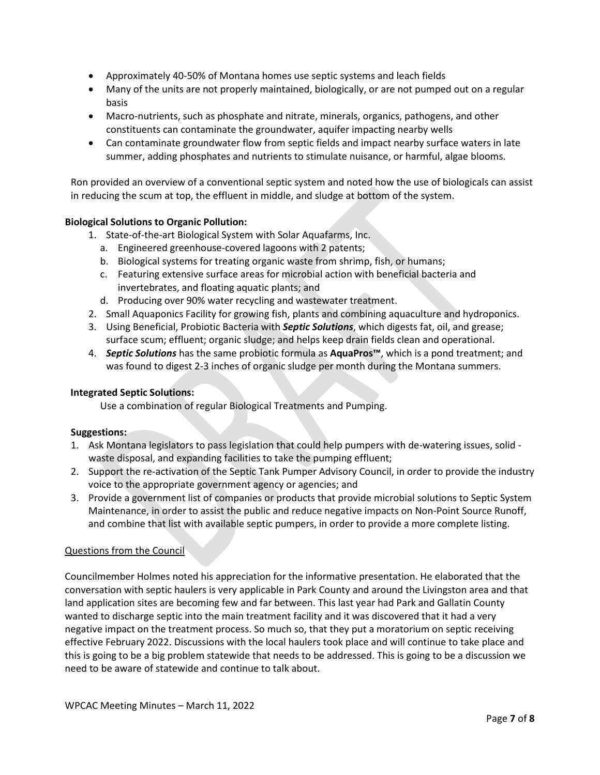- Approximately 40-50% of Montana homes use septic systems and leach fields
- Many of the units are not properly maintained, biologically, or are not pumped out on a regular basis
- Macro-nutrients, such as phosphate and nitrate, minerals, organics, pathogens, and other constituents can contaminate the groundwater, aquifer impacting nearby wells
- Can contaminate groundwater flow from septic fields and impact nearby surface waters in late summer, adding phosphates and nutrients to stimulate nuisance, or harmful, algae blooms.

Ron provided an overview of a conventional septic system and noted how the use of biologicals can assist in reducing the scum at top, the effluent in middle, and sludge at bottom of the system.

# **Biological Solutions to Organic Pollution:**

- 1. State-of-the-art Biological System with Solar Aquafarms, Inc.
	- a. Engineered greenhouse-covered lagoons with 2 patents;
	- b. Biological systems for treating organic waste from shrimp, fish, or humans;
	- c. Featuring extensive surface areas for microbial action with beneficial bacteria and invertebrates, and floating aquatic plants; and
	- d. Producing over 90% water recycling and wastewater treatment.
- 2. Small Aquaponics Facility for growing fish, plants and combining aquaculture and hydroponics.
- 3. Using Beneficial, Probiotic Bacteria with *Septic Solutions*, which digests fat, oil, and grease; surface scum; effluent; organic sludge; and helps keep drain fields clean and operational.
- 4. *Septic Solutions* has the same probiotic formula as **AquaPros™**, which is a pond treatment; and was found to digest 2-3 inches of organic sludge per month during the Montana summers.

# **Integrated Septic Solutions:**

Use a combination of regular Biological Treatments and Pumping.

# **Suggestions:**

- 1. Ask Montana legislators to pass legislation that could help pumpers with de-watering issues, solid waste disposal, and expanding facilities to take the pumping effluent;
- 2. Support the re-activation of the Septic Tank Pumper Advisory Council, in order to provide the industry voice to the appropriate government agency or agencies; and
- 3. Provide a government list of companies or products that provide microbial solutions to Septic System Maintenance, in order to assist the public and reduce negative impacts on Non-Point Source Runoff, and combine that list with available septic pumpers, in order to provide a more complete listing.

# Questions from the Council

Councilmember Holmes noted his appreciation for the informative presentation. He elaborated that the conversation with septic haulers is very applicable in Park County and around the Livingston area and that land application sites are becoming few and far between. This last year had Park and Gallatin County wanted to discharge septic into the main treatment facility and it was discovered that it had a very negative impact on the treatment process. So much so, that they put a moratorium on septic receiving effective February 2022. Discussions with the local haulers took place and will continue to take place and this is going to be a big problem statewide that needs to be addressed. This is going to be a discussion we need to be aware of statewide and continue to talk about.